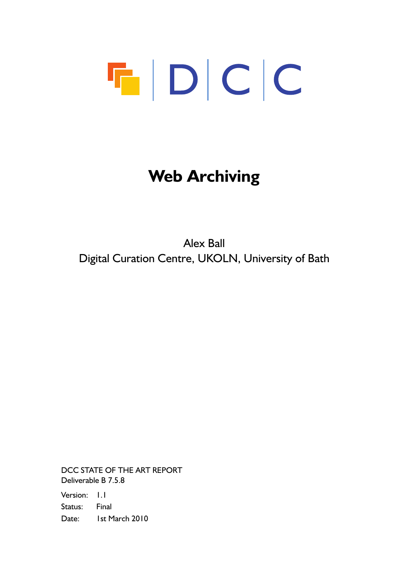# $\begin{array}{c|c|c|c|c} \hline \textbf{F} & \textbf{D} & \textbf{C} & \textbf{C} \\\hline \end{array}$

# **Web Archiving**

Alex Ball Digital Curation Centre, UKOLN, University of Bath

DCC STATE OF THE ART REPORT Deliverable B 7.5.8

Version: 1.1 Status: Final Date: Ist March 2010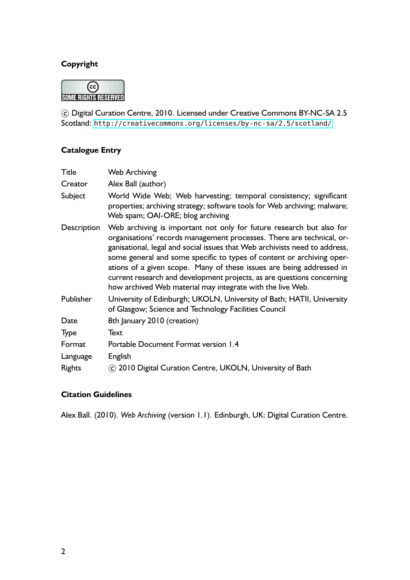#### **Copyright**



 c Digital Curation Centre, 2010. Licensed under Creative Commons BY-NC-SA 2.5 Scotland: <http://creativecommons.org/licenses/by-nc-sa/2.5/scotland/>

#### **Catalogue Entry**

| <b>Title</b>  | <b>Web Archiving</b>                                                                                                                                                                                                                                                                                                                                                                                                                                                                                                 |
|---------------|----------------------------------------------------------------------------------------------------------------------------------------------------------------------------------------------------------------------------------------------------------------------------------------------------------------------------------------------------------------------------------------------------------------------------------------------------------------------------------------------------------------------|
| Creator       | Alex Ball (author)                                                                                                                                                                                                                                                                                                                                                                                                                                                                                                   |
| Subject       | World Wide Web; Web harvesting; temporal consistency; significant<br>properties; archiving strategy; software tools for Web archiving; malware;<br>Web spam; OAI-ORE; blog archiving                                                                                                                                                                                                                                                                                                                                 |
| Description   | Web archiving is important not only for future research but also for<br>organisations' records management processes. There are technical, or-<br>ganisational, legal and social issues that Web archivists need to address,<br>some general and some specific to types of content or archiving oper-<br>ations of a given scope. Many of these issues are being addressed in<br>current research and development projects, as are questions concerning<br>how archived Web material may integrate with the live Web. |
| Publisher     | University of Edinburgh; UKOLN, University of Bath; HATII, University<br>of Glasgow; Science and Technology Facilities Council                                                                                                                                                                                                                                                                                                                                                                                       |
| Date          | 8th January 2010 (creation)                                                                                                                                                                                                                                                                                                                                                                                                                                                                                          |
| Type          | Text                                                                                                                                                                                                                                                                                                                                                                                                                                                                                                                 |
| Format        | Portable Document Format version 1.4                                                                                                                                                                                                                                                                                                                                                                                                                                                                                 |
| Language      | English                                                                                                                                                                                                                                                                                                                                                                                                                                                                                                              |
| <b>Rights</b> | C 2010 Digital Curation Centre, UKOLN, University of Bath                                                                                                                                                                                                                                                                                                                                                                                                                                                            |

#### **Citation Guidelines**

Alex Ball. (2010). *Web Archiving* (version 1.1). Edinburgh, UK: Digital Curation Centre.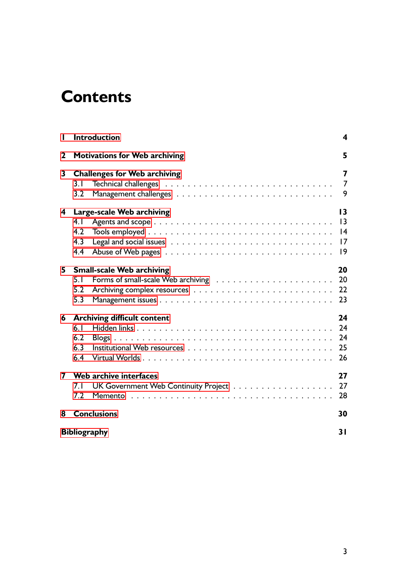# **Contents**

| L  | <b>Introduction</b>                                            | 4                                                    |  |
|----|----------------------------------------------------------------|------------------------------------------------------|--|
| 2  | <b>Motivations for Web archiving</b>                           | 5                                                    |  |
| 3  | <b>Challenges for Web archiving</b><br>3.1<br>3.2              | 7<br>$\overline{7}$<br>9                             |  |
| 4  | Large-scale Web archiving<br>4.1<br>4.2<br>4.3<br>4.4          | $\overline{13}$<br>$\overline{13}$<br> 4<br>17<br> 9 |  |
| 5. | <b>Small-scale Web archiving</b><br>5.1<br>5.2<br>5.3          | 20<br>20<br>22<br>23                                 |  |
| 6  | <b>Archiving difficult content</b><br>6.1<br>6.2<br>6.3<br>6.4 | 24<br>24<br>24<br>25<br>26                           |  |
| 7  | Web archive interfaces<br>7.1<br>7.2                           | 27<br>27<br>28                                       |  |
| 8  | <b>Conclusions</b>                                             | 30                                                   |  |
|    | <b>Bibliography</b><br>31                                      |                                                      |  |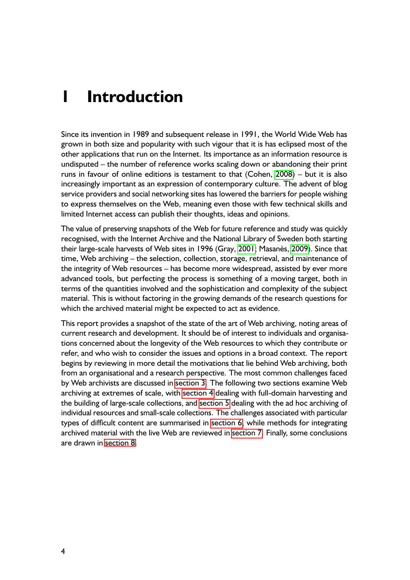# <span id="page-3-0"></span>**1 Introduction**

Since its invention in 1989 and subsequent release in 1991, the World Wide Web has grown in both size and popularity with such vigour that it is has eclipsed most of the other applications that run on the Internet. Its importance as an information resource is undisputed – the number of reference works scaling down or abandoning their print runs in favour of online editions is testament to that (Cohen, [2008\)](#page-30-0) – but it is also increasingly important as an expression of contemporary culture. The advent of blog service providers and social networking sites has lowered the barriers for people wishing to express themselves on the Web, meaning even those with few technical skills and limited Internet access can publish their thoughts, ideas and opinions.

The value of preserving snapshots of the Web for future reference and study was quickly recognised, with the Internet Archive and the National Library of Sweden both starting their large-scale harvests of Web sites in 1996 (Gray, [2001;](#page-31-0) Masanès, [2009\)](#page-32-0). Since that time, Web archiving – the selection, collection, storage, retrieval, and maintenance of the integrity of Web resources – has become more widespread, assisted by ever more advanced tools, but perfecting the process is something of a moving target, both in terms of the quantities involved and the sophistication and complexity of the subject material. This is without factoring in the growing demands of the research questions for which the archived material might be expected to act as evidence.

This report provides a snapshot of the state of the art of Web archiving, noting areas of current research and development. It should be of interest to individuals and organisations concerned about the longevity of the Web resources to which they contribute or refer, and who wish to consider the issues and options in a broad context. The report begins by reviewing in more detail the motivations that lie behind Web archiving, both from an organisational and a research perspective. The most common challenges faced by Web archivists are discussed in [section 3.](#page-6-0) The following two sections examine Web archiving at extremes of scale, with [section 4](#page-12-0) dealing with full-domain harvesting and the building of large-scale collections, and [section 5](#page-19-0) dealing with the ad hoc archiving of individual resources and small-scale collections. The challenges associated with particular types of difficult content are summarised in [section 6,](#page-23-0) while methods for integrating archived material with the live Web are reviewed in [section 7.](#page-26-0) Finally, some conclusions are drawn in [section 8.](#page-29-0)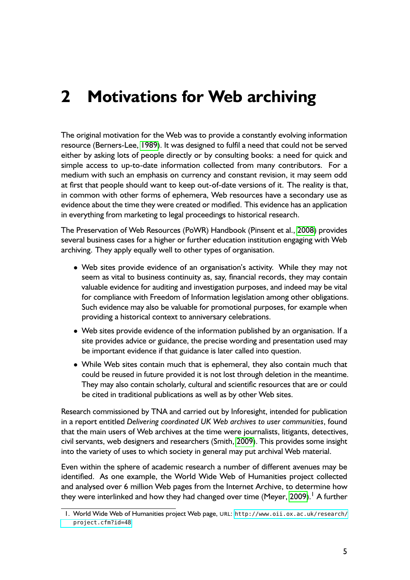# <span id="page-4-0"></span>**2 Motivations for Web archiving**

The original motivation for the Web was to provide a constantly evolving information resource (Berners-Lee, [1989\)](#page-30-0). It was designed to fulfil a need that could not be served either by asking lots of people directly or by consulting books: a need for quick and simple access to up-to-date information collected from many contributors. For a medium with such an emphasis on currency and constant revision, it may seem odd at first that people should want to keep out-of-date versions of it. The reality is that, in common with other forms of ephemera, Web resources have a secondary use as evidence about the time they were created or modified. This evidence has an application in everything from marketing to legal proceedings to historical research.

The Preservation of Web Resources (PoWR) Handbook (Pinsent et al., [2008\)](#page-32-0) provides several business cases for a higher or further education institution engaging with Web archiving. They apply equally well to other types of organisation.

- Web sites provide evidence of an organisation's activity. While they may not seem as vital to business continuity as, say, financial records, they may contain valuable evidence for auditing and investigation purposes, and indeed may be vital for compliance with Freedom of Information legislation among other obligations. Such evidence may also be valuable for promotional purposes, for example when providing a historical context to anniversary celebrations.
- Web sites provide evidence of the information published by an organisation. If a site provides advice or guidance, the precise wording and presentation used may be important evidence if that guidance is later called into question.
- While Web sites contain much that is ephemeral, they also contain much that could be reused in future provided it is not lost through deletion in the meantime. They may also contain scholarly, cultural and scientific resources that are or could be cited in traditional publications as well as by other Web sites.

Research commissioned by TNA and carried out by Inforesight, intended for publication in a report entitled *Delivering coordinated UK Web archives to user communities*, found that the main users of Web archives at the time were journalists, litigants, detectives, civil servants, web designers and researchers (Smith, [2009\)](#page-33-0). This provides some insight into the variety of uses to which society in general may put archival Web material.

Even within the sphere of academic research a number of different avenues may be identified. As one example, the World Wide Web of Humanities project collected and analysed over 6 million Web pages from the Internet Archive, to determine how they were interlinked and how they had changed over time (Meyer, [2009\)](#page-32-0).<sup>1</sup> A further

<sup>1.</sup> World Wide Web of Humanities project Web page, URL: [http://www.oii.ox.ac.uk/research/](http://www.oii.ox.ac.uk/research/project.cfm?id=48) [project.cfm?id=48](http://www.oii.ox.ac.uk/research/project.cfm?id=48)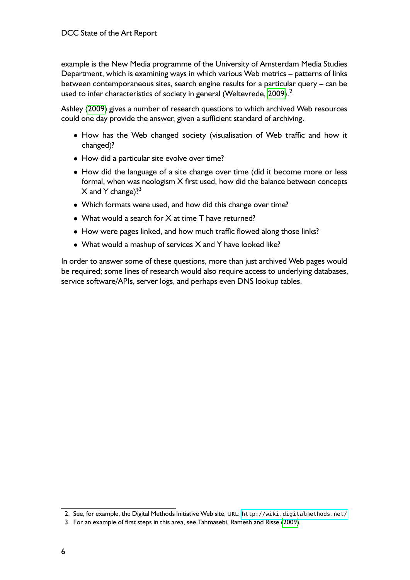example is the New Media programme of the University of Amsterdam Media Studies Department, which is examining ways in which various Web metrics – patterns of links between contemporaneous sites, search engine results for a particular query – can be used to infer characteristics of society in general (Weltevrede, [2009\)](#page-33-0).<sup>2</sup>

Ashley [\(2009\)](#page-30-0) gives a number of research questions to which archived Web resources could one day provide the answer, given a sufficient standard of archiving.

- How has the Web changed society (visualisation of Web traffic and how it changed)?
- How did a particular site evolve over time?
- How did the language of a site change over time (did it become more or less formal, when was neologism X first used, how did the balance between concepts  $X$  and Y change)?<sup>3</sup>
- Which formats were used, and how did this change over time?
- What would a search for X at time T have returned?
- How were pages linked, and how much traffic flowed along those links?
- What would a mashup of services X and Y have looked like?

In order to answer some of these questions, more than just archived Web pages would be required; some lines of research would also require access to underlying databases, service software/APIs, server logs, and perhaps even DNS lookup tables.

<sup>2.</sup> See, for example, the Digital Methods Initiative Web site, URL: <http://wiki.digitalmethods.net/>

<sup>3.</sup> For an example of first steps in this area, see Tahmasebi, Ramesh and Risse [\(2009\)](#page-33-0).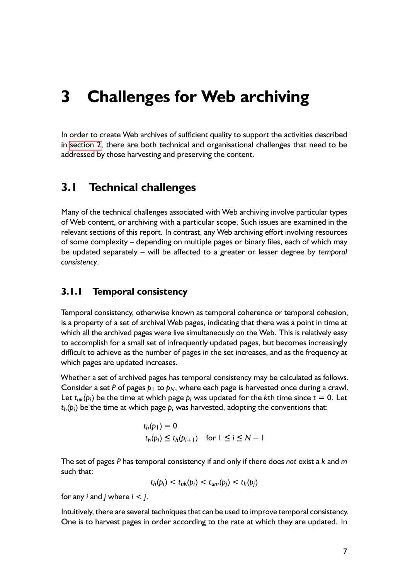# <span id="page-6-0"></span>**3 Challenges for Web archiving**

In order to create Web archives of sufficient quality to support the activities described in [section 2,](#page-4-0) there are both technical and organisational challenges that need to be addressed by those harvesting and preserving the content.

#### **3.1 Technical challenges**

Many of the technical challenges associated with Web archiving involve particular types of Web content, or archiving with a particular scope. Such issues are examined in the relevant sections of this report. In contrast, any Web archiving effort involving resources of some complexity – depending on multiple pages or binary files, each of which may be updated separately – will be affected to a greater or lesser degree by *temporal consistency*.

#### **3.1.1 Temporal consistency**

Temporal consistency, otherwise known as temporal coherence or temporal cohesion, is a property of a set of archival Web pages, indicating that there was a point in time at which all the archived pages were live simultaneously on the Web. This is relatively easy to accomplish for a small set of infrequently updated pages, but becomes increasingly difficult to achieve as the number of pages in the set increases, and as the frequency at which pages are updated increases.

Whether a set of archived pages has temporal consistency may be calculated as follows. Consider a set P of pages  $p_1$  to  $p_N$ , where each page is harvested once during a crawl. Let  $t_{uk}(p_i)$  be the time at which page  $p_i$  was updated for the kth time since  $t = 0$ . Let  $t_h(p_i)$  be the time at which page  $p_i$  was harvested, adopting the conventions that:

$$
t_h(p_1) = 0
$$
  

$$
t_h(p_i) \le t_h(p_{i+1}) \quad \text{for } 1 \le i \le N - 1
$$

The set of pages *P* has temporal consistency if and only if there does *not* exist a *k* and *m* such that:

$$
t_h(p_i) < t_{uk}(p_i) < t_{um}(p_j) < t_h(p_j)
$$

for any *i* and *j* where *i < j*.

Intuitively, there are several techniques that can be used to improve temporal consistency. One is to harvest pages in order according to the rate at which they are updated. In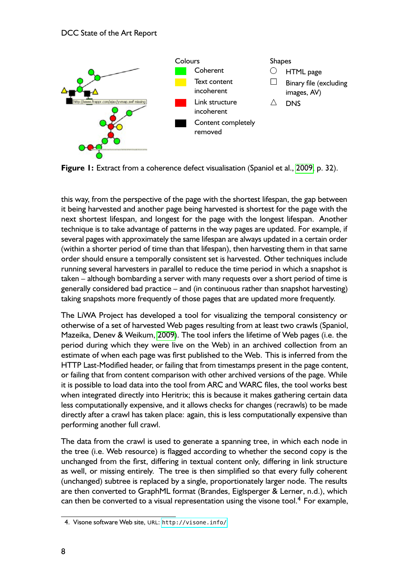<span id="page-7-0"></span>

**Figure 1:** Extract from a coherence defect visualisation (Spaniol et al., [2009,](#page-33-0) p. 32).

this way, from the perspective of the page with the shortest lifespan, the gap between it being harvested and another page being harvested is shortest for the page with the next shortest lifespan, and longest for the page with the longest lifespan. Another technique is to take advantage of patterns in the way pages are updated. For example, if several pages with approximately the same lifespan are always updated in a certain order (within a shorter period of time than that lifespan), then harvesting them in that same order should ensure a temporally consistent set is harvested. Other techniques include running several harvesters in parallel to reduce the time period in which a snapshot is taken – although bombarding a server with many requests over a short period of time is generally considered bad practice – and (in continuous rather than snapshot harvesting) taking snapshots more frequently of those pages that are updated more frequently.

The LiWA Project has developed a tool for visualizing the temporal consistency or otherwise of a set of harvested Web pages resulting from at least two crawls (Spaniol, Mazeika, Denev & Weikum, [2009\)](#page-33-0). The tool infers the lifetime of Web pages (i.e. the period during which they were live on the Web) in an archived collection from an estimate of when each page was first published to the Web. This is inferred from the HTTP Last-Modified header, or failing that from timestamps present in the page content, or failing that from content comparison with other archived versions of the page. While it is possible to load data into the tool from ARC and WARC files, the tool works best when integrated directly into Heritrix; this is because it makes gathering certain data less computationally expensive, and it allows checks for changes (recrawls) to be made directly after a crawl has taken place: again, this is less computationally expensive than performing another full crawl.

The data from the crawl is used to generate a spanning tree, in which each node in the tree (i.e. Web resource) is flagged according to whether the second copy is the unchanged from the first, differing in textual content only, differing in link structure as well, or missing entirely. The tree is then simplified so that every fully coherent (unchanged) subtree is replaced by a single, proportionately larger node. The results are then converted to GraphML format (Brandes, Eiglsperger & Lerner, n.d.), which can then be converted to a visual representation using the visone tool.<sup>4</sup> For example,

<sup>4.</sup> Visone software Web site, URL: <http://visone.info/>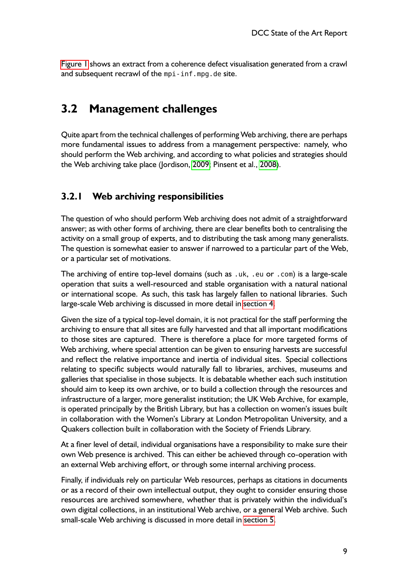<span id="page-8-0"></span>[Figure 1](#page-7-0) shows an extract from a coherence defect visualisation generated from a crawl and subsequent recrawl of the mpi-inf.mpg.de site.

## **3.2 Management challenges**

Quite apart from the technical challenges of performing Web archiving, there are perhaps more fundamental issues to address from a management perspective: namely, who should perform the Web archiving, and according to what policies and strategies should the Web archiving take place (Jordison, [2009;](#page-31-0) Pinsent et al., [2008\)](#page-32-0).

#### **3.2.1 Web archiving responsibilities**

The question of who should perform Web archiving does not admit of a straightforward answer; as with other forms of archiving, there are clear benefits both to centralising the activity on a small group of experts, and to distributing the task among many generalists. The question is somewhat easier to answer if narrowed to a particular part of the Web, or a particular set of motivations.

The archiving of entire top-level domains (such as .uk, .eu or .com) is a large-scale operation that suits a well-resourced and stable organisation with a natural national or international scope. As such, this task has largely fallen to national libraries. Such large-scale Web archiving is discussed in more detail in [section 4.](#page-12-0)

Given the size of a typical top-level domain, it is not practical for the staff performing the archiving to ensure that all sites are fully harvested and that all important modifications to those sites are captured. There is therefore a place for more targeted forms of Web archiving, where special attention can be given to ensuring harvests are successful and reflect the relative importance and inertia of individual sites. Special collections relating to specific subjects would naturally fall to libraries, archives, museums and galleries that specialise in those subjects. It is debatable whether each such institution should aim to keep its own archive, or to build a collection through the resources and infrastructure of a larger, more generalist institution; the UK Web Archive, for example, is operated principally by the British Library, but has a collection on women's issues built in collaboration with the Women's Library at London Metropolitan University, and a Quakers collection built in collaboration with the Society of Friends Library.

At a finer level of detail, individual organisations have a responsibility to make sure their own Web presence is archived. This can either be achieved through co-operation with an external Web archiving effort, or through some internal archiving process.

Finally, if individuals rely on particular Web resources, perhaps as citations in documents or as a record of their own intellectual output, they ought to consider ensuring those resources are archived somewhere, whether that is privately within the individual's own digital collections, in an institutional Web archive, or a general Web archive. Such small-scale Web archiving is discussed in more detail in [section 5.](#page-19-0)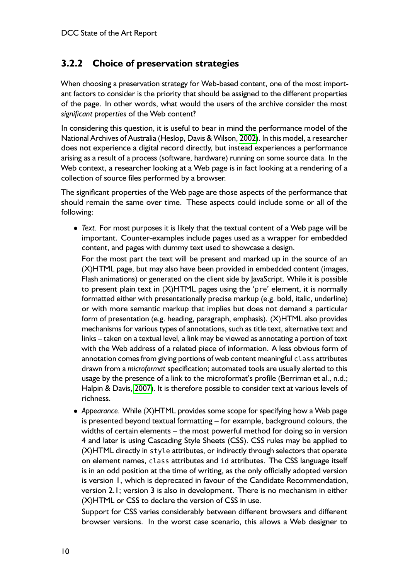#### **3.2.2 Choice of preservation strategies**

When choosing a preservation strategy for Web-based content, one of the most important factors to consider is the priority that should be assigned to the different properties of the page. In other words, what would the users of the archive consider the most *significant properties* of the Web content?

In considering this question, it is useful to bear in mind the performance model of the National Archives of Australia (Heslop, Davis & Wilson, [2002\)](#page-31-0). In this model, a researcher does not experience a digital record directly, but instead experiences a performance arising as a result of a process (software, hardware) running on some source data. In the Web context, a researcher looking at a Web page is in fact looking at a rendering of a collection of source files performed by a browser.

The significant properties of the Web page are those aspects of the performance that should remain the same over time. These aspects could include some or all of the following:

• *Text.* For most purposes it is likely that the textual content of a Web page will be important. Counter-examples include pages used as a wrapper for embedded content, and pages with dummy text used to showcase a design.

For the most part the text will be present and marked up in the source of an (X)HTML page, but may also have been provided in embedded content (images, Flash animations) or generated on the client side by JavaScript. While it is possible to present plain text in (X)HTML pages using the 'pre' element, it is normally formatted either with presentationally precise markup (e.g. bold, italic, underline) or with more semantic markup that implies but does not demand a particular form of presentation (e.g. heading, paragraph, emphasis). (X)HTML also provides mechanisms for various types of annotations, such as title text, alternative text and links – taken on a textual level, a link may be viewed as annotating a portion of text with the Web address of a related piece of information. A less obvious form of annotation comes from giving portions of web content meaningful class attributes drawn from a *microformat* specification; automated tools are usually alerted to this usage by the presence of a link to the microformat's profile (Berriman et al., n.d.; Halpin & Davis, [2007\)](#page-31-0). It is therefore possible to consider text at various levels of richness.

• *Appearance.* While (X)HTML provides some scope for specifying how a Web page is presented beyond textual formatting – for example, background colours, the widths of certain elements – the most powerful method for doing so in version 4 and later is using Cascading Style Sheets (CSS). CSS rules may be applied to (X)HTML directly in style attributes, or indirectly through selectors that operate on element names, class attributes and id attributes. The CSS language itself is in an odd position at the time of writing, as the only officially adopted version is version 1, which is deprecated in favour of the Candidate Recommendation, version 2.1; version 3 is also in development. There is no mechanism in either (X)HTML or CSS to declare the version of CSS in use.

Support for CSS varies considerably between different browsers and different browser versions. In the worst case scenario, this allows a Web designer to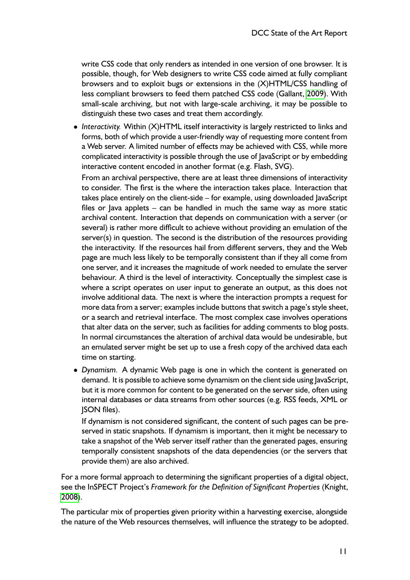write CSS code that only renders as intended in one version of one browser. It is possible, though, for Web designers to write CSS code aimed at fully compliant browsers and to exploit bugs or extensions in the (X)HTML/CSS handling of less compliant browsers to feed them patched CSS code (Gallant, [2009\)](#page-31-0). With small-scale archiving, but not with large-scale archiving, it may be possible to distinguish these two cases and treat them accordingly.

• *Interactivity.* Within (X)HTML itself interactivity is largely restricted to links and forms, both of which provide a user-friendly way of requesting more content from a Web server. A limited number of effects may be achieved with CSS, while more complicated interactivity is possible through the use of JavaScript or by embedding interactive content encoded in another format (e.g. Flash, SVG).

From an archival perspective, there are at least three dimensions of interactivity to consider. The first is the where the interaction takes place. Interaction that takes place entirely on the client-side – for example, using downloaded JavaScript files or Java applets – can be handled in much the same way as more static archival content. Interaction that depends on communication with a server (or several) is rather more difficult to achieve without providing an emulation of the server(s) in question. The second is the distribution of the resources providing the interactivity. If the resources hail from different servers, they and the Web page are much less likely to be temporally consistent than if they all come from one server, and it increases the magnitude of work needed to emulate the server behaviour. A third is the level of interactivity. Conceptually the simplest case is where a script operates on user input to generate an output, as this does not involve additional data. The next is where the interaction prompts a request for more data from a server; examples include buttons that switch a page's style sheet, or a search and retrieval interface. The most complex case involves operations that alter data on the server, such as facilities for adding comments to blog posts. In normal circumstances the alteration of archival data would be undesirable, but an emulated server might be set up to use a fresh copy of the archived data each time on starting.

• *Dynamism.* A dynamic Web page is one in which the content is generated on demand. It is possible to achieve some dynamism on the client side using JavaScript, but it is more common for content to be generated on the server side, often using internal databases or data streams from other sources (e.g. RSS feeds, XML or JSON files).

If dynamism is not considered significant, the content of such pages can be preserved in static snapshots. If dynamism is important, then it might be necessary to take a snapshot of the Web server itself rather than the generated pages, ensuring temporally consistent snapshots of the data dependencies (or the servers that provide them) are also archived.

For a more formal approach to determining the significant properties of a digital object, see the InSPECT Project's *Framework for the Definition of Significant Properties* (Knight, [2008\)](#page-31-0).

The particular mix of properties given priority within a harvesting exercise, alongside the nature of the Web resources themselves, will influence the strategy to be adopted.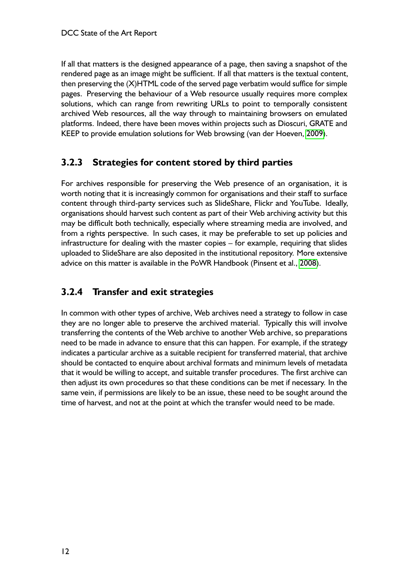If all that matters is the designed appearance of a page, then saving a snapshot of the rendered page as an image might be sufficient. If all that matters is the textual content, then preserving the (X)HTML code of the served page verbatim would suffice for simple pages. Preserving the behaviour of a Web resource usually requires more complex solutions, which can range from rewriting URLs to point to temporally consistent archived Web resources, all the way through to maintaining browsers on emulated platforms. Indeed, there have been moves within projects such as Dioscuri, GRATE and KEEP to provide emulation solutions for Web browsing (van der Hoeven, [2009\)](#page-33-0).

#### **3.2.3 Strategies for content stored by third parties**

For archives responsible for preserving the Web presence of an organisation, it is worth noting that it is increasingly common for organisations and their staff to surface content through third-party services such as SlideShare, Flickr and YouTube. Ideally, organisations should harvest such content as part of their Web archiving activity but this may be difficult both technically, especially where streaming media are involved, and from a rights perspective. In such cases, it may be preferable to set up policies and infrastructure for dealing with the master copies – for example, requiring that slides uploaded to SlideShare are also deposited in the institutional repository. More extensive advice on this matter is available in the PoWR Handbook (Pinsent et al., [2008\)](#page-32-0).

#### **3.2.4 Transfer and exit strategies**

In common with other types of archive, Web archives need a strategy to follow in case they are no longer able to preserve the archived material. Typically this will involve transferring the contents of the Web archive to another Web archive, so preparations need to be made in advance to ensure that this can happen. For example, if the strategy indicates a particular archive as a suitable recipient for transferred material, that archive should be contacted to enquire about archival formats and minimum levels of metadata that it would be willing to accept, and suitable transfer procedures. The first archive can then adjust its own procedures so that these conditions can be met if necessary. In the same vein, if permissions are likely to be an issue, these need to be sought around the time of harvest, and not at the point at which the transfer would need to be made.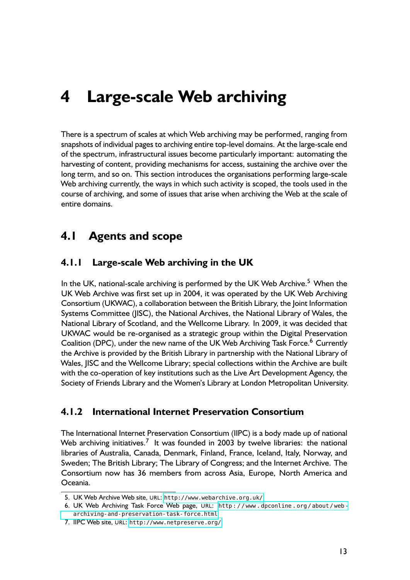# <span id="page-12-0"></span>**4 Large-scale Web archiving**

There is a spectrum of scales at which Web archiving may be performed, ranging from snapshots of individual pages to archiving entire top-level domains. At the large-scale end of the spectrum, infrastructural issues become particularly important: automating the harvesting of content, providing mechanisms for access, sustaining the archive over the long term, and so on. This section introduces the organisations performing large-scale Web archiving currently, the ways in which such activity is scoped, the tools used in the course of archiving, and some of issues that arise when archiving the Web at the scale of entire domains.

#### **4.1 Agents and scope**

#### **4.1.1 Large-scale Web archiving in the UK**

In the UK, national-scale archiving is performed by the UK Web Archive.<sup>5</sup> When the UK Web Archive was first set up in 2004, it was operated by the UK Web Archiving Consortium (UKWAC), a collaboration between the British Library, the Joint Information Systems Committee (JISC), the National Archives, the National Library of Wales, the National Library of Scotland, and the Wellcome Library. In 2009, it was decided that UKWAC would be re-organised as a strategic group within the Digital Preservation Coalition (DPC), under the new name of the UK Web Archiving Task Force.<sup>6</sup> Currently the Archive is provided by the British Library in partnership with the National Library of Wales, JISC and the Wellcome Library; special collections within the Archive are built with the co-operation of key institutions such as the Live Art Development Agency, the Society of Friends Library and the Women's Library at London Metropolitan University.

#### **4.1.2 International Internet Preservation Consortium**

The International Internet Preservation Consortium (IIPC) is a body made up of national Web archiving initiatives.<sup>7</sup> It was founded in 2003 by twelve libraries: the national libraries of Australia, Canada, Denmark, Finland, France, Iceland, Italy, Norway, and Sweden; The British Library; The Library of Congress; and the Internet Archive. The Consortium now has 36 members from across Asia, Europe, North America and Oceania.

<sup>5.</sup> UK Web Archive Web site, URL: <http://www.webarchive.org.uk/>

<sup>6.</sup> UK Web Archiving Task Force Web page, URL: [http : / / www . dpconline . org / about / web](http://www.dpconline.org/about/web-archiving-and-preservation-task-force.html)  [archiving-and-preservation-task-force.html](http://www.dpconline.org/about/web-archiving-and-preservation-task-force.html)

<sup>7.</sup> IIPC Web site, URL: <http://www.netpreserve.org/>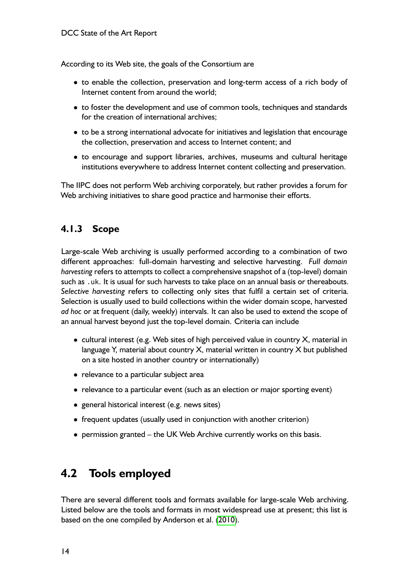<span id="page-13-0"></span>According to its Web site, the goals of the Consortium are

- to enable the collection, preservation and long-term access of a rich body of Internet content from around the world;
- to foster the development and use of common tools, techniques and standards for the creation of international archives;
- to be a strong international advocate for initiatives and legislation that encourage the collection, preservation and access to Internet content; and
- to encourage and support libraries, archives, museums and cultural heritage institutions everywhere to address Internet content collecting and preservation.

The IIPC does not perform Web archiving corporately, but rather provides a forum for Web archiving initiatives to share good practice and harmonise their efforts.

#### **4.1.3 Scope**

Large-scale Web archiving is usually performed according to a combination of two different approaches: full-domain harvesting and selective harvesting. *Full domain harvesting* refers to attempts to collect a comprehensive snapshot of a (top-level) domain such as .uk. It is usual for such harvests to take place on an annual basis or thereabouts. *Selective harvesting* refers to collecting only sites that fulfil a certain set of criteria. Selection is usually used to build collections within the wider domain scope, harvested *ad hoc* or at frequent (daily, weekly) intervals. It can also be used to extend the scope of an annual harvest beyond just the top-level domain. Criteria can include

- cultural interest (e.g. Web sites of high perceived value in country  $X$ , material in language Y, material about country X, material written in country X but published on a site hosted in another country or internationally)
- relevance to a particular subject area
- relevance to a particular event (such as an election or major sporting event)
- general historical interest (e.g. news sites)
- frequent updates (usually used in conjunction with another criterion)
- permission granted the UK Web Archive currently works on this basis.

## **4.2 Tools employed**

There are several different tools and formats available for large-scale Web archiving. Listed below are the tools and formats in most widespread use at present; this list is based on the one compiled by Anderson et al. [\(2010\)](#page-30-0).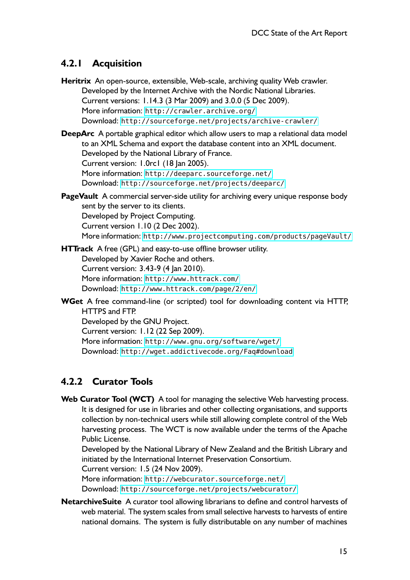#### **4.2.1 Acquisition**

**Heritrix** An open-source, extensible, Web-scale, archiving quality Web crawler. Developed by the Internet Archive with the Nordic National Libraries. Current versions: 1.14.3 (3 Mar 2009) and 3.0.0 (5 Dec 2009). More information: <http://crawler.archive.org/> Download: <http://sourceforge.net/projects/archive-crawler/>

- **DeepArc** A portable graphical editor which allow users to map a relational data model to an XML Schema and export the database content into an XML document. Developed by the National Library of France. Current version: 1.0rc1 (18 Jan 2005). More information: <http://deeparc.sourceforge.net/> Download: <http://sourceforge.net/projects/deeparc/>
- **PageVault** A commercial server-side utility for archiving every unique response body sent by the server to its clients. Developed by Project Computing. Current version 1.10 (2 Dec 2002). More information: <http://www.projectcomputing.com/products/pageVault/>
- **HTTrack** A free (GPL) and easy-to-use offline browser utility. Developed by Xavier Roche and others. Current version: 3.43-9 (4 Jan 2010). More information: <http://www.httrack.com/> Download: <http://www.httrack.com/page/2/en/>
- **WGet** A free command-line (or scripted) tool for downloading content via HTTP, HTTPS and FTP.
	- Developed by the GNU Project.

Current version: 1.12 (22 Sep 2009).

More information: <http://www.gnu.org/software/wget/> Download: <http://wget.addictivecode.org/Faq#download>

#### **4.2.2 Curator Tools**

**Web Curator Tool (WCT)** A tool for managing the selective Web harvesting process. It is designed for use in libraries and other collecting organisations, and supports collection by non-technical users while still allowing complete control of the Web harvesting process. The WCT is now available under the terms of the Apache Public License.

Developed by the National Library of New Zealand and the British Library and initiated by the International Internet Preservation Consortium.

Current version: 1.5 (24 Nov 2009).

More information: <http://webcurator.sourceforge.net/> Download: <http://sourceforge.net/projects/webcurator/>

**NetarchiveSuite** A curator tool allowing librarians to define and control harvests of web material. The system scales from small selective harvests to harvests of entire national domains. The system is fully distributable on any number of machines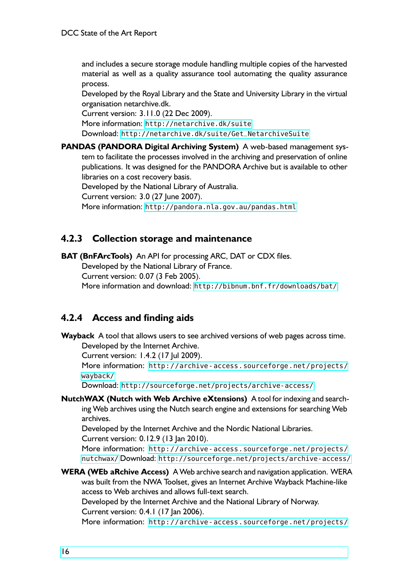and includes a secure storage module handling multiple copies of the harvested material as well as a quality assurance tool automating the quality assurance process.

Developed by the Royal Library and the State and University Library in the virtual organisation netarchive.dk.

Current version: 3.11.0 (22 Dec 2009).

More information: <http://netarchive.dk/suite>

Download: [http://netarchive.dk/suite/Get\\_NetarchiveSuite](http://netarchive.dk/suite/Get_NetarchiveSuite)

**PANDAS (PANDORA Digital Archiving System)** A web-based management system to facilitate the processes involved in the archiving and preservation of online publications. It was designed for the PANDORA Archive but is available to other libraries on a cost recovery basis.

Developed by the National Library of Australia. Current version: 3.0 (27 June 2007). More information: <http://pandora.nla.gov.au/pandas.html>

#### **4.2.3 Collection storage and maintenance**

**BAT (BnFArcTools)** An API for processing ARC, DAT or CDX files. Developed by the National Library of France.

Current version: 0.07 (3 Feb 2005).

More information and download: <http://bibnum.bnf.fr/downloads/bat/>

#### **4.2.4 Access and finding aids**

**Wayback** A tool that allows users to see archived versions of web pages across time. Developed by the Internet Archive. Current version: 1.4.2 (17 Jul 2009). More information: http://archive-access.sourceforge.net/projects/ [wayback/](http://archive-access.sourceforge.net/projects/wayback/) Download: <http://sourceforge.net/projects/archive-access/> **NutchWAX (Nutch with Web Archive eXtensions)** A tool for indexing and searching Web archives using the Nutch search engine and extensions for searching Web archives. Developed by the Internet Archive and the Nordic National Libraries. Current version: 0.12.9 (13 Jan 2010). More information: http://archive-access.sourceforge.net/projects/ [nutchwax/](http://archive-access.sourceforge.net/projects/nutchwax/) Download: <http://sourceforge.net/projects/archive-access/> **WERA (WEb aRchive Access)** A Web archive search and navigation application. WERA was built from the NWA Toolset, gives an Internet Archive Wayback Machine-like access to Web archives and allows full-text search. Developed by the Internet Archive and the National Library of Norway. Current version: 0.4.1 (17 Jan 2006). More information: http://archive-access.sourceforge.net/projects/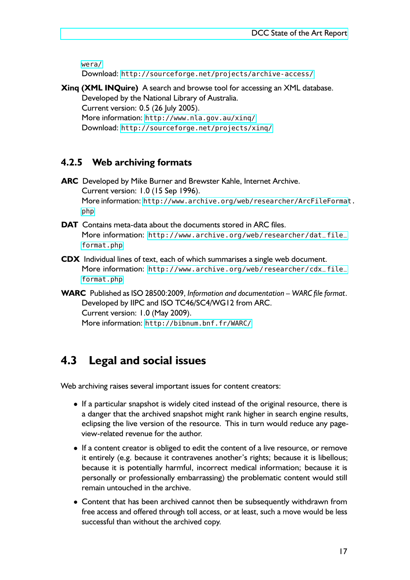<span id="page-16-0"></span>[wera/](http://archive-access.sourceforge.net/projects/wera/)

Download: <http://sourceforge.net/projects/archive-access/>

**Xinq (XML INQuire)** A search and browse tool for accessing an XML database.

Developed by the National Library of Australia. Current version: 0.5 (26 July 2005). More information: <http://www.nla.gov.au/xinq/>

Download: <http://sourceforge.net/projects/xinq/>

#### **4.2.5 Web archiving formats**

- **ARC** Developed by Mike Burner and Brewster Kahle, Internet Archive. Current version: 1.0 (15 Sep 1996). More information: [http://www.archive.org/web/researcher/ArcFileFormat](http://www.archive.org/web/researcher/ArcFileFormat.php). [php](http://www.archive.org/web/researcher/ArcFileFormat.php)
- **DAT** Contains meta-data about the documents stored in ARC files. More information: [http://www.archive.org/web/researcher/dat\\_file\\_](http://www.archive.org/web/researcher/dat_file_format.php) [format.php](http://www.archive.org/web/researcher/dat_file_format.php)
- **CDX** Individual lines of text, each of which summarises a single web document. More information: [http://www.archive.org/web/researcher/cdx\\_file\\_](http://www.archive.org/web/researcher/cdx_file_format.php) [format.php](http://www.archive.org/web/researcher/cdx_file_format.php)
- **WARC** Published as ISO 28500:2009, *Information and documentation WARC file format*. Developed by IIPC and ISO TC46/SC4/WG12 from ARC. Current version: 1.0 (May 2009). More information: <http://bibnum.bnf.fr/WARC/>

## **4.3 Legal and social issues**

Web archiving raises several important issues for content creators:

- If a particular snapshot is widely cited instead of the original resource, there is a danger that the archived snapshot might rank higher in search engine results, eclipsing the live version of the resource. This in turn would reduce any pageview-related revenue for the author.
- If a content creator is obliged to edit the content of a live resource, or remove it entirely (e.g. because it contravenes another's rights; because it is libellous; because it is potentially harmful, incorrect medical information; because it is personally or professionally embarrassing) the problematic content would still remain untouched in the archive.
- Content that has been archived cannot then be subsequently withdrawn from free access and offered through toll access, or at least, such a move would be less successful than without the archived copy.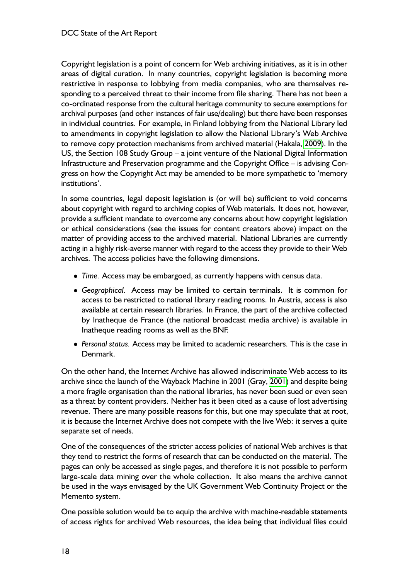Copyright legislation is a point of concern for Web archiving initiatives, as it is in other areas of digital curation. In many countries, copyright legislation is becoming more restrictive in response to lobbying from media companies, who are themselves responding to a perceived threat to their income from file sharing. There has not been a co-ordinated response from the cultural heritage community to secure exemptions for archival purposes (and other instances of fair use/dealing) but there have been responses in individual countries. For example, in Finland lobbying from the National Library led to amendments in copyright legislation to allow the National Library's Web Archive to remove copy protection mechanisms from archived material (Hakala, [2009\)](#page-31-0). In the US, the Section 108 Study Group – a joint venture of the National Digital Information Infrastructure and Preservation programme and the Copyright Office – is advising Congress on how the Copyright Act may be amended to be more sympathetic to 'memory institutions'.

In some countries, legal deposit legislation is (or will be) sufficient to void concerns about copyright with regard to archiving copies of Web materials. It does not, however, provide a sufficient mandate to overcome any concerns about how copyright legislation or ethical considerations (see the issues for content creators above) impact on the matter of providing access to the archived material. National Libraries are currently acting in a highly risk-averse manner with regard to the access they provide to their Web archives. The access policies have the following dimensions.

- *Time.* Access may be embargoed, as currently happens with census data.
- *Geographical.* Access may be limited to certain terminals. It is common for access to be restricted to national library reading rooms. In Austria, access is also available at certain research libraries. In France, the part of the archive collected by Inatheque de France (the national broadcast media archive) is available in Inatheque reading rooms as well as the BNF.
- *Personal status.* Access may be limited to academic researchers. This is the case in Denmark.

On the other hand, the Internet Archive has allowed indiscriminate Web access to its archive since the launch of the Wayback Machine in 2001 (Gray, [2001\)](#page-31-0) and despite being a more fragile organisation than the national libraries, has never been sued or even seen as a threat by content providers. Neither has it been cited as a cause of lost advertising revenue. There are many possible reasons for this, but one may speculate that at root, it is because the Internet Archive does not compete with the live Web: it serves a quite separate set of needs.

One of the consequences of the stricter access policies of national Web archives is that they tend to restrict the forms of research that can be conducted on the material. The pages can only be accessed as single pages, and therefore it is not possible to perform large-scale data mining over the whole collection. It also means the archive cannot be used in the ways envisaged by the UK Government Web Continuity Project or the Memento system.

One possible solution would be to equip the archive with machine-readable statements of access rights for archived Web resources, the idea being that individual files could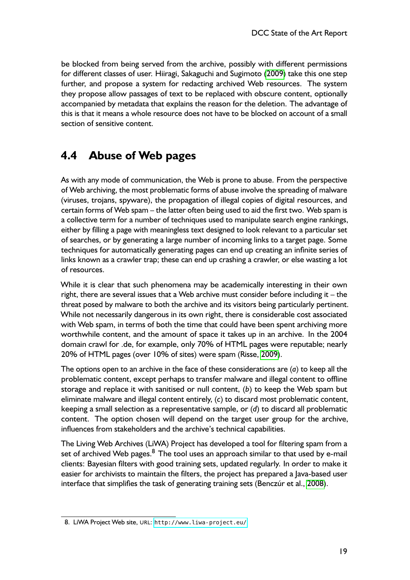<span id="page-18-0"></span>be blocked from being served from the archive, possibly with different permissions for different classes of user. Hiiragi, Sakaguchi and Sugimoto [\(2009\)](#page-31-0) take this one step further, and propose a system for redacting archived Web resources. The system they propose allow passages of text to be replaced with obscure content, optionally accompanied by metadata that explains the reason for the deletion. The advantage of this is that it means a whole resource does not have to be blocked on account of a small section of sensitive content.

## **4.4 Abuse of Web pages**

As with any mode of communication, the Web is prone to abuse. From the perspective of Web archiving, the most problematic forms of abuse involve the spreading of malware (viruses, trojans, spyware), the propagation of illegal copies of digital resources, and certain forms of Web spam – the latter often being used to aid the first two. Web spam is a collective term for a number of techniques used to manipulate search engine rankings, either by filling a page with meaningless text designed to look relevant to a particular set of searches, or by generating a large number of incoming links to a target page. Some techniques for automatically generating pages can end up creating an infinite series of links known as a crawler trap; these can end up crashing a crawler, or else wasting a lot of resources.

While it is clear that such phenomena may be academically interesting in their own right, there are several issues that a Web archive must consider before including it – the threat posed by malware to both the archive and its visitors being particularly pertinent. While not necessarily dangerous in its own right, there is considerable cost associated with Web spam, in terms of both the time that could have been spent archiving more worthwhile content, and the amount of space it takes up in an archive. In the 2004 domain crawl for .de, for example, only 70% of HTML pages were reputable; nearly 20% of HTML pages (over 10% of sites) were spam (Risse, [2009\)](#page-32-0).

The options open to an archive in the face of these considerations are (*a*) to keep all the problematic content, except perhaps to transfer malware and illegal content to offline storage and replace it with sanitised or null content, (*b*) to keep the Web spam but eliminate malware and illegal content entirely, (*c*) to discard most problematic content, keeping a small selection as a representative sample, or (*d*) to discard all problematic content. The option chosen will depend on the target user group for the archive, influences from stakeholders and the archive's technical capabilities.

The Living Web Archives (LiWA) Project has developed a tool for filtering spam from a set of archived Web pages. $8$  The tool uses an approach similar to that used by e-mail clients: Bayesian filters with good training sets, updated regularly. In order to make it easier for archivists to maintain the filters, the project has prepared a Java-based user interface that simplifies the task of generating training sets (Benczúr et al., [2008\)](#page-30-0).

<sup>8.</sup> LiWA Project Web site, URL: <http://www.liwa-project.eu/>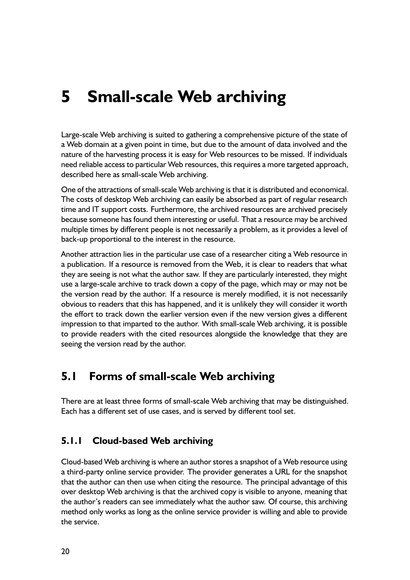# <span id="page-19-0"></span>**5 Small-scale Web archiving**

Large-scale Web archiving is suited to gathering a comprehensive picture of the state of a Web domain at a given point in time, but due to the amount of data involved and the nature of the harvesting process it is easy for Web resources to be missed. If individuals need reliable access to particular Web resources, this requires a more targeted approach, described here as small-scale Web archiving.

One of the attractions of small-scale Web archiving is that it is distributed and economical. The costs of desktop Web archiving can easily be absorbed as part of regular research time and IT support costs. Furthermore, the archived resources are archived precisely because someone has found them interesting or useful. That a resource may be archived multiple times by different people is not necessarily a problem, as it provides a level of back-up proportional to the interest in the resource.

Another attraction lies in the particular use case of a researcher citing a Web resource in a publication. If a resource is removed from the Web, it is clear to readers that what they are seeing is not what the author saw. If they are particularly interested, they might use a large-scale archive to track down a copy of the page, which may or may not be the version read by the author. If a resource is merely modified, it is not necessarily obvious to readers that this has happened, and it is unlikely they will consider it worth the effort to track down the earlier version even if the new version gives a different impression to that imparted to the author. With small-scale Web archiving, it is possible to provide readers with the cited resources alongside the knowledge that they are seeing the version read by the author.

#### **5.1 Forms of small-scale Web archiving**

There are at least three forms of small-scale Web archiving that may be distinguished. Each has a different set of use cases, and is served by different tool set.

#### **5.1.1 Cloud-based Web archiving**

Cloud-based Web archiving is where an author stores a snapshot of a Web resource using a third-party online service provider. The provider generates a URL for the snapshot that the author can then use when citing the resource. The principal advantage of this over desktop Web archiving is that the archived copy is visible to anyone, meaning that the author's readers can see immediately what the author saw. Of course, this archiving method only works as long as the online service provider is willing and able to provide the service.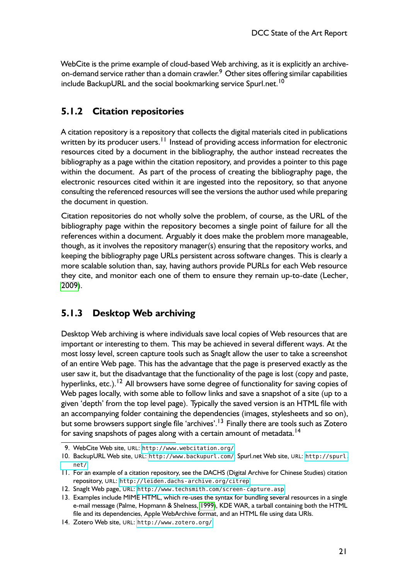WebCite is the prime example of cloud-based Web archiving, as it is explicitly an archiveon-demand service rather than a domain crawler.<sup>9</sup> Other sites offering similar capabilities include BackupURL and the social bookmarking service Spurl.net.<sup>10</sup>

#### **5.1.2 Citation repositories**

A citation repository is a repository that collects the digital materials cited in publications written by its producer users.<sup>11</sup> Instead of providing access information for electronic resources cited by a document in the bibliography, the author instead recreates the bibliography as a page within the citation repository, and provides a pointer to this page within the document. As part of the process of creating the bibliography page, the electronic resources cited within it are ingested into the repository, so that anyone consulting the referenced resources will see the versions the author used while preparing the document in question.

Citation repositories do not wholly solve the problem, of course, as the URL of the bibliography page within the repository becomes a single point of failure for all the references within a document. Arguably it does make the problem more manageable, though, as it involves the repository manager(s) ensuring that the repository works, and keeping the bibliography page URLs persistent across software changes. This is clearly a more scalable solution than, say, having authors provide PURLs for each Web resource they cite, and monitor each one of them to ensure they remain up-to-date (Lecher, [2009\)](#page-32-0).

#### **5.1.3 Desktop Web archiving**

Desktop Web archiving is where individuals save local copies of Web resources that are important or interesting to them. This may be achieved in several different ways. At the most lossy level, screen capture tools such as SnagIt allow the user to take a screenshot of an entire Web page. This has the advantage that the page is preserved exactly as the user saw it, but the disadvantage that the functionality of the page is lost (copy and paste, hyperlinks, etc.).<sup>12</sup> All browsers have some degree of functionality for saving copies of Web pages locally, with some able to follow links and save a snapshot of a site (up to a given 'depth' from the top level page). Typically the saved version is an HTML file with an accompanying folder containing the dependencies (images, stylesheets and so on), but some browsers support single file 'archives'.<sup>13</sup> Finally there are tools such as Zotero for saving snapshots of pages along with a certain amount of metadata.<sup>14</sup>

<sup>9.</sup> WebCite Web site, URL: <http://www.webcitation.org/>

<sup>10.</sup> BackupURL Web site, URL: <http://www.backupurl.com/>; Spurl.net Web site, URL: [http://spurl.](http://spurl.net/) [net/](http://spurl.net/)

<sup>11.</sup> For an example of a citation repository, see the DACHS (Digital Archive for Chinese Studies) citation repository, URL: <http://leiden.dachs-archive.org/citrep>

<sup>12.</sup> SnagIt Web page, URL: <http://www.techsmith.com/screen-capture.asp>

<sup>13.</sup> Examples include MIME HTML, which re-uses the syntax for bundling several resources in a single e-mail message (Palme, Hopmann & Shelness, [1999\)](#page-32-0), KDE WAR, a tarball containing both the HTML file and its dependencies, Apple WebArchive format, and an HTML file using data URIs.

<sup>14.</sup> Zotero Web site, URL: <http://www.zotero.org/>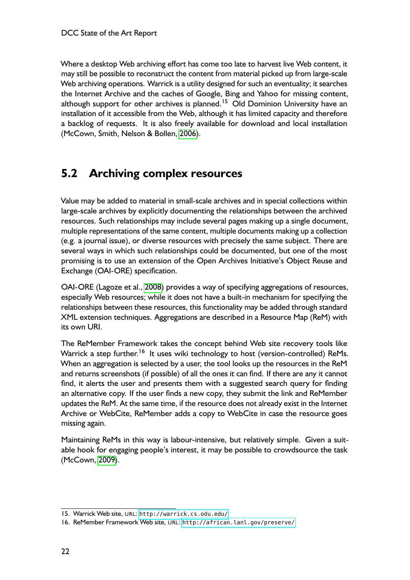<span id="page-21-0"></span>Where a desktop Web archiving effort has come too late to harvest live Web content, it may still be possible to reconstruct the content from material picked up from large-scale Web archiving operations. Warrick is a utility designed for such an eventuality; it searches the Internet Archive and the caches of Google, Bing and Yahoo for missing content, although support for other archives is planned.<sup>15</sup> Old Dominion University have an installation of it accessible from the Web, although it has limited capacity and therefore a backlog of requests. It is also freely available for download and local installation (McCown, Smith, Nelson & Bollen, [2006\)](#page-32-0).

## **5.2 Archiving complex resources**

Value may be added to material in small-scale archives and in special collections within large-scale archives by explicitly documenting the relationships between the archived resources. Such relationships may include several pages making up a single document, multiple representations of the same content, multiple documents making up a collection (e.g. a journal issue), or diverse resources with precisely the same subject. There are several ways in which such relationships could be documented, but one of the most promising is to use an extension of the Open Archives Initiative's Object Reuse and Exchange (OAI-ORE) specification.

OAI-ORE (Lagoze et al., [2008\)](#page-31-0) provides a way of specifying aggregations of resources, especially Web resources; while it does not have a built-in mechanism for specifying the relationships between these resources, this functionality may be added through standard XML extension techniques. Aggregations are described in a Resource Map (ReM) with its own URI.

The ReMember Framework takes the concept behind Web site recovery tools like Warrick a step further.<sup>16</sup> It uses wiki technology to host (version-controlled) ReMs. When an aggregation is selected by a user, the tool looks up the resources in the ReM and returns screenshots (if possible) of all the ones it can find. If there are any it cannot find, it alerts the user and presents them with a suggested search query for finding an alternative copy. If the user finds a new copy, they submit the link and ReMember updates the ReM. At the same time, if the resource does not already exist in the Internet Archive or WebCite, ReMember adds a copy to WebCite in case the resource goes missing again.

Maintaining ReMs in this way is labour-intensive, but relatively simple. Given a suitable hook for engaging people's interest, it may be possible to crowdsource the task (McCown, [2009\)](#page-32-0).

<sup>15.</sup> Warrick Web site, URL: <http://warrick.cs.odu.edu/>

<sup>16.</sup> ReMember Framework Web site, URL: <http://african.lanl.gov/preserve/>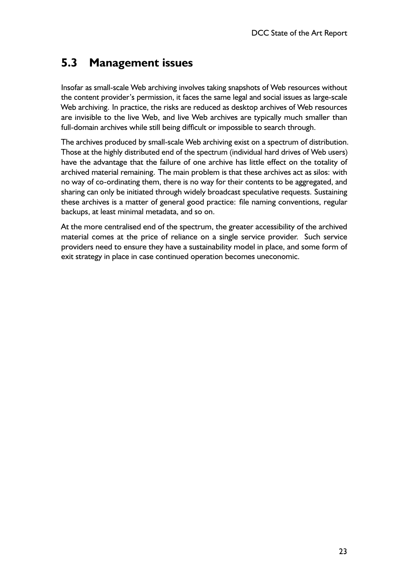## <span id="page-22-0"></span>**5.3 Management issues**

Insofar as small-scale Web archiving involves taking snapshots of Web resources without the content provider's permission, it faces the same legal and social issues as large-scale Web archiving. In practice, the risks are reduced as desktop archives of Web resources are invisible to the live Web, and live Web archives are typically much smaller than full-domain archives while still being difficult or impossible to search through.

The archives produced by small-scale Web archiving exist on a spectrum of distribution. Those at the highly distributed end of the spectrum (individual hard drives of Web users) have the advantage that the failure of one archive has little effect on the totality of archived material remaining. The main problem is that these archives act as silos: with no way of co-ordinating them, there is no way for their contents to be aggregated, and sharing can only be initiated through widely broadcast speculative requests. Sustaining these archives is a matter of general good practice: file naming conventions, regular backups, at least minimal metadata, and so on.

At the more centralised end of the spectrum, the greater accessibility of the archived material comes at the price of reliance on a single service provider. Such service providers need to ensure they have a sustainability model in place, and some form of exit strategy in place in case continued operation becomes uneconomic.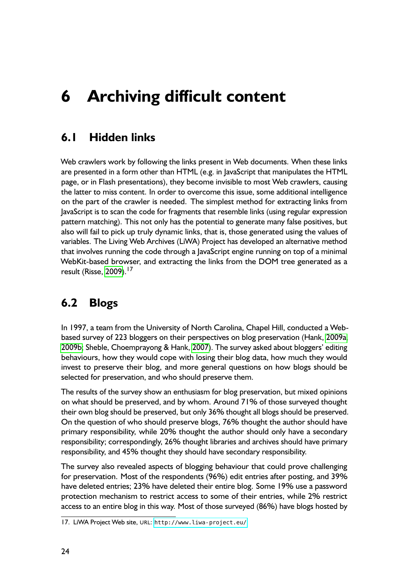# <span id="page-23-0"></span>**6 Archiving difficult content**

## **6.1 Hidden links**

Web crawlers work by following the links present in Web documents. When these links are presented in a form other than HTML (e.g. in JavaScript that manipulates the HTML page, or in Flash presentations), they become invisible to most Web crawlers, causing the latter to miss content. In order to overcome this issue, some additional intelligence on the part of the crawler is needed. The simplest method for extracting links from JavaScript is to scan the code for fragments that resemble links (using regular expression pattern matching). This not only has the potential to generate many false positives, but also will fail to pick up truly dynamic links, that is, those generated using the values of variables. The Living Web Archives (LiWA) Project has developed an alternative method that involves running the code through a JavaScript engine running on top of a minimal WebKit-based browser, and extracting the links from the DOM tree generated as a result (Risse, [2009\)](#page-32-0).<sup>17</sup>

## **6.2 Blogs**

In 1997, a team from the University of North Carolina, Chapel Hill, conducted a Webbased survey of 223 bloggers on their perspectives on blog preservation (Hank, [2009a,](#page-31-0) [2009b;](#page-31-0) Sheble, Choemprayong & Hank, [2007\)](#page-32-0). The survey asked about bloggers' editing behaviours, how they would cope with losing their blog data, how much they would invest to preserve their blog, and more general questions on how blogs should be selected for preservation, and who should preserve them.

The results of the survey show an enthusiasm for blog preservation, but mixed opinions on what should be preserved, and by whom. Around 71% of those surveyed thought their own blog should be preserved, but only 36% thought all blogs should be preserved. On the question of who should preserve blogs, 76% thought the author should have primary responsibility, while 20% thought the author should only have a secondary responsibility; correspondingly, 26% thought libraries and archives should have primary responsibility, and 45% thought they should have secondary responsibility.

The survey also revealed aspects of blogging behaviour that could prove challenging for preservation. Most of the respondents (96%) edit entries after posting, and 39% have deleted entries; 23% have deleted their entire blog. Some 19% use a password protection mechanism to restrict access to some of their entries, while 2% restrict access to an entire blog in this way. Most of those surveyed (86%) have blogs hosted by

<sup>17.</sup> LiWA Project Web site, URL: <http://www.liwa-project.eu/>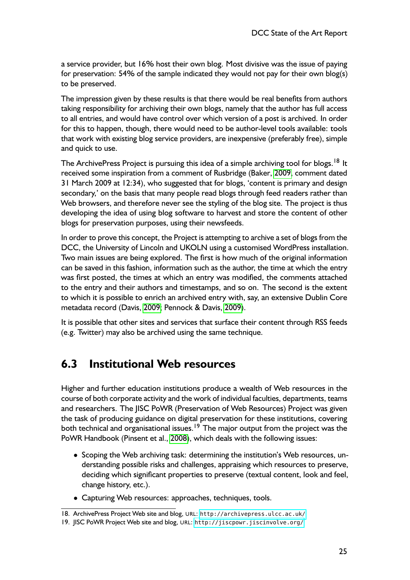<span id="page-24-0"></span>a service provider, but 16% host their own blog. Most divisive was the issue of paying for preservation: 54% of the sample indicated they would not pay for their own blog(s) to be preserved.

The impression given by these results is that there would be real benefits from authors taking responsibility for archiving their own blogs, namely that the author has full access to all entries, and would have control over which version of a post is archived. In order for this to happen, though, there would need to be author-level tools available: tools that work with existing blog service providers, are inexpensive (preferably free), simple and quick to use.

The ArchivePress Project is pursuing this idea of a simple archiving tool for blogs.<sup>18</sup> It received some inspiration from a comment of Rusbridge (Baker, [2009,](#page-30-0) comment dated 31 March 2009 at 12:34), who suggested that for blogs, 'content is primary and design secondary,' on the basis that many people read blogs through feed readers rather than Web browsers, and therefore never see the styling of the blog site. The project is thus developing the idea of using blog software to harvest and store the content of other blogs for preservation purposes, using their newsfeeds.

In order to prove this concept, the Project is attempting to archive a set of blogs from the DCC, the University of Lincoln and UKOLN using a customised WordPress installation. Two main issues are being explored. The first is how much of the original information can be saved in this fashion, information such as the author, the time at which the entry was first posted, the times at which an entry was modified, the comments attached to the entry and their authors and timestamps, and so on. The second is the extent to which it is possible to enrich an archived entry with, say, an extensive Dublin Core metadata record (Davis, [2009;](#page-30-0) Pennock & Davis, [2009\)](#page-32-0).

It is possible that other sites and services that surface their content through RSS feeds (e.g. Twitter) may also be archived using the same technique.

#### **6.3 Institutional Web resources**

Higher and further education institutions produce a wealth of Web resources in the course of both corporate activity and the work of individual faculties, departments, teams and researchers. The JISC PoWR (Preservation of Web Resources) Project was given the task of producing guidance on digital preservation for these institutions, covering both technical and organisational issues.<sup>19</sup> The major output from the project was the PoWR Handbook (Pinsent et al., [2008\)](#page-32-0), which deals with the following issues:

- Scoping the Web archiving task: determining the institution's Web resources, understanding possible risks and challenges, appraising which resources to preserve, deciding which significant properties to preserve (textual content, look and feel, change history, etc.).
- Capturing Web resources: approaches, techniques, tools.

<sup>18.</sup> ArchivePress Project Web site and blog, URL: <http://archivepress.ulcc.ac.uk/>

<sup>19.</sup> JISC PoWR Project Web site and blog, URL: <http://jiscpowr.jiscinvolve.org/>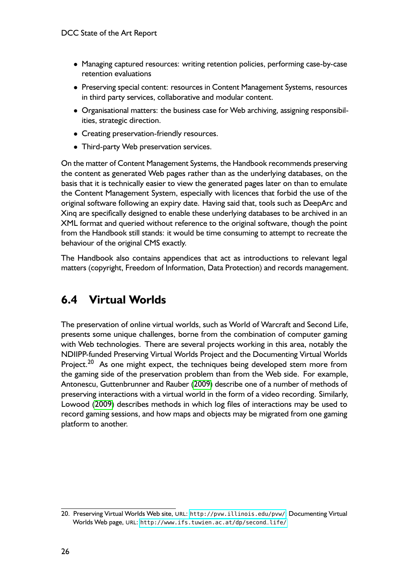- <span id="page-25-0"></span>• Managing captured resources: writing retention policies, performing case-by-case retention evaluations
- Preserving special content: resources in Content Management Systems, resources in third party services, collaborative and modular content.
- Organisational matters: the business case for Web archiving, assigning responsibilities, strategic direction.
- Creating preservation-friendly resources.
- Third-party Web preservation services.

On the matter of Content Management Systems, the Handbook recommends preserving the content as generated Web pages rather than as the underlying databases, on the basis that it is technically easier to view the generated pages later on than to emulate the Content Management System, especially with licences that forbid the use of the original software following an expiry date. Having said that, tools such as DeepArc and Xinq are specifically designed to enable these underlying databases to be archived in an XML format and queried without reference to the original software, though the point from the Handbook still stands: it would be time consuming to attempt to recreate the behaviour of the original CMS exactly.

The Handbook also contains appendices that act as introductions to relevant legal matters (copyright, Freedom of Information, Data Protection) and records management.

## **6.4 Virtual Worlds**

The preservation of online virtual worlds, such as World of Warcraft and Second Life, presents some unique challenges, borne from the combination of computer gaming with Web technologies. There are several projects working in this area, notably the NDIIPP-funded Preserving Virtual Worlds Project and the Documenting Virtual Worlds Project.<sup>20</sup> As one might expect, the techniques being developed stem more from the gaming side of the preservation problem than from the Web side. For example, Antonescu, Guttenbrunner and Rauber [\(2009\)](#page-30-0) describe one of a number of methods of preserving interactions with a virtual world in the form of a video recording. Similarly, Lowood [\(2009\)](#page-32-0) describes methods in which log files of interactions may be used to record gaming sessions, and how maps and objects may be migrated from one gaming platform to another.

<sup>20.</sup> Preserving Virtual Worlds Web site, URL: <http://pvw.illinois.edu/pvw/>; Documenting Virtual Worlds Web page, URL: [http://www.ifs.tuwien.ac.at/dp/second\\_life/](http://www.ifs.tuwien.ac.at/dp/second_life/)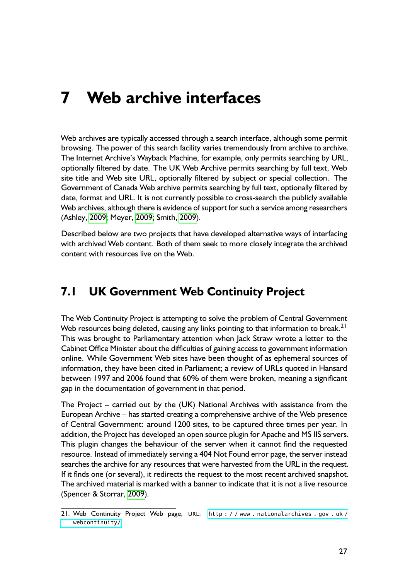## <span id="page-26-0"></span>**7 Web archive interfaces**

Web archives are typically accessed through a search interface, although some permit browsing. The power of this search facility varies tremendously from archive to archive. The Internet Archive's Wayback Machine, for example, only permits searching by URL, optionally filtered by date. The UK Web Archive permits searching by full text, Web site title and Web site URL, optionally filtered by subject or special collection. The Government of Canada Web archive permits searching by full text, optionally filtered by date, format and URL. It is not currently possible to cross-search the publicly available Web archives, although there is evidence of support for such a service among researchers (Ashley, [2009;](#page-30-0) Meyer, [2009;](#page-32-0) Smith, [2009\)](#page-33-0).

Described below are two projects that have developed alternative ways of interfacing with archived Web content. Both of them seek to more closely integrate the archived content with resources live on the Web.

### **7.1 UK Government Web Continuity Project**

The Web Continuity Project is attempting to solve the problem of Central Government Web resources being deleted, causing any links pointing to that information to break.<sup>21</sup> This was brought to Parliamentary attention when Jack Straw wrote a letter to the Cabinet Office Minister about the difficulties of gaining access to government information online. While Government Web sites have been thought of as ephemeral sources of information, they have been cited in Parliament; a review of URLs quoted in Hansard between 1997 and 2006 found that 60% of them were broken, meaning a significant gap in the documentation of government in that period.

The Project – carried out by the (UK) National Archives with assistance from the European Archive – has started creating a comprehensive archive of the Web presence of Central Government: around 1200 sites, to be captured three times per year. In addition, the Project has developed an open source plugin for Apache and MS IIS servers. This plugin changes the behaviour of the server when it cannot find the requested resource. Instead of immediately serving a 404 Not Found error page, the server instead searches the archive for any resources that were harvested from the URL in the request. If it finds one (or several), it redirects the request to the most recent archived snapshot. The archived material is marked with a banner to indicate that it is not a live resource (Spencer & Storrar, [2009\)](#page-33-0).

<sup>21.</sup> Web Continuity Project Web page, URL: [http : / / www . nationalarchives . gov . uk /](http://www.nationalarchives.gov.uk/webcontinuity/) [webcontinuity/](http://www.nationalarchives.gov.uk/webcontinuity/)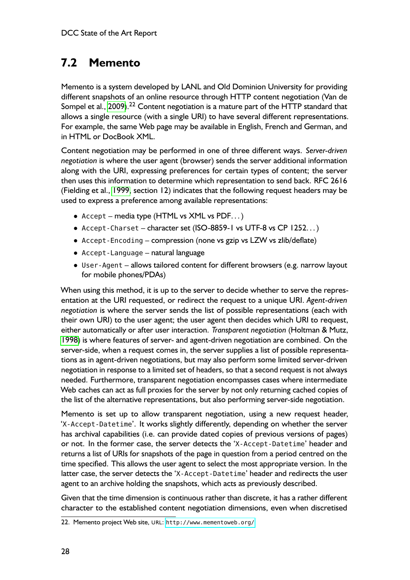## <span id="page-27-0"></span>**7.2 Memento**

Memento is a system developed by LANL and Old Dominion University for providing different snapshots of an online resource through HTTP content negotiation (Van de Sompel et al., [2009\)](#page-33-0).<sup>22</sup> Content negotiation is a mature part of the HTTP standard that allows a single resource (with a single URI) to have several different representations. For example, the same Web page may be available in English, French and German, and in HTML or DocBook XML.

Content negotiation may be performed in one of three different ways. *Server-driven negotiation* is where the user agent (browser) sends the server additional information along with the URI, expressing preferences for certain types of content; the server then uses this information to determine which representation to send back. RFC 2616 (Fielding et al., [1999,](#page-30-0) section 12) indicates that the following request headers may be used to express a preference among available representations:

- Accept media type (HTML vs XML vs PDF. . . )
- Accept-Charset character set (ISO-8859-1 vs UTF-8 vs CP 1252. . . )
- Accept-Encoding compression (none vs gzip vs LZW vs zlib/deflate)
- Accept-Language natural language
- User-Agent allows tailored content for different browsers (e.g. narrow layout for mobile phones/PDAs)

When using this method, it is up to the server to decide whether to serve the representation at the URI requested, or redirect the request to a unique URI. *Agent-driven negotiation* is where the server sends the list of possible representations (each with their own URI) to the user agent; the user agent then decides which URI to request, either automatically or after user interaction. *Transparent negotiation* (Holtman & Mutz, [1998\)](#page-31-0) is where features of server- and agent-driven negotiation are combined. On the server-side, when a request comes in, the server supplies a list of possible representations as in agent-driven negotiations, but may also perform some limited server-driven negotiation in response to a limited set of headers, so that a second request is not always needed. Furthermore, transparent negotiation encompasses cases where intermediate Web caches can act as full proxies for the server by not only returning cached copies of the list of the alternative representations, but also performing server-side negotiation.

Memento is set up to allow transparent negotiation, using a new request header, 'X-Accept-Datetime'. It works slightly differently, depending on whether the server has archival capabilities (i.e. can provide dated copies of previous versions of pages) or not. In the former case, the server detects the 'X-Accept-Datetime' header and returns a list of URIs for snapshots of the page in question from a period centred on the time specified. This allows the user agent to select the most appropriate version. In the latter case, the server detects the 'X-Accept-Datetime' header and redirects the user agent to an archive holding the snapshots, which acts as previously described.

Given that the time dimension is continuous rather than discrete, it has a rather different character to the established content negotiation dimensions, even when discretised

<sup>22.</sup> Memento project Web site, URL: <http://www.mementoweb.org/>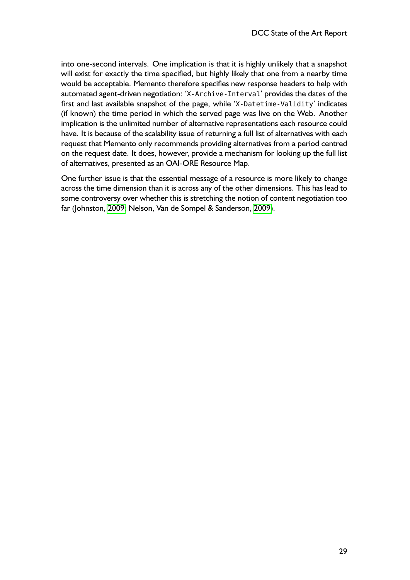into one-second intervals. One implication is that it is highly unlikely that a snapshot will exist for exactly the time specified, but highly likely that one from a nearby time would be acceptable. Memento therefore specifies new response headers to help with automated agent-driven negotiation: 'X-Archive-Interval' provides the dates of the first and last available snapshot of the page, while 'X-Datetime-Validity' indicates (if known) the time period in which the served page was live on the Web. Another implication is the unlimited number of alternative representations each resource could have. It is because of the scalability issue of returning a full list of alternatives with each request that Memento only recommends providing alternatives from a period centred on the request date. It does, however, provide a mechanism for looking up the full list of alternatives, presented as an OAI-ORE Resource Map.

One further issue is that the essential message of a resource is more likely to change across the time dimension than it is across any of the other dimensions. This has lead to some controversy over whether this is stretching the notion of content negotiation too far (Johnston, [2009;](#page-31-0) Nelson, Van de Sompel & Sanderson, [2009\)](#page-32-0).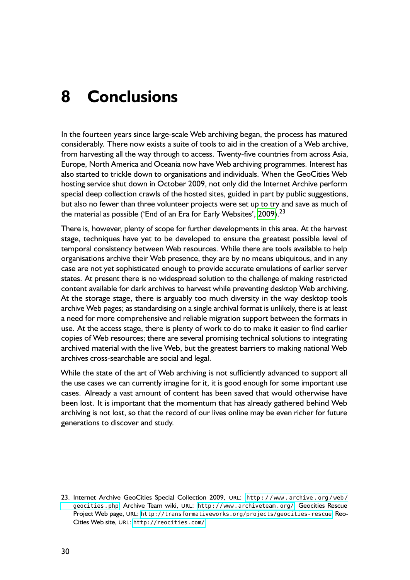# <span id="page-29-0"></span>**8 Conclusions**

In the fourteen years since large-scale Web archiving began, the process has matured considerably. There now exists a suite of tools to aid in the creation of a Web archive, from harvesting all the way through to access. Twenty-five countries from across Asia, Europe, North America and Oceania now have Web archiving programmes. Interest has also started to trickle down to organisations and individuals. When the GeoCities Web hosting service shut down in October 2009, not only did the Internet Archive perform special deep collection crawls of the hosted sites, guided in part by public suggestions, but also no fewer than three volunteer projects were set up to try and save as much of the material as possible ('End of an Era for Early Websites', [2009\)](#page-30-0).<sup>23</sup>

There is, however, plenty of scope for further developments in this area. At the harvest stage, techniques have yet to be developed to ensure the greatest possible level of temporal consistency between Web resources. While there are tools available to help organisations archive their Web presence, they are by no means ubiquitous, and in any case are not yet sophisticated enough to provide accurate emulations of earlier server states. At present there is no widespread solution to the challenge of making restricted content available for dark archives to harvest while preventing desktop Web archiving. At the storage stage, there is arguably too much diversity in the way desktop tools archive Web pages; as standardising on a single archival format is unlikely, there is at least a need for more comprehensive and reliable migration support between the formats in use. At the access stage, there is plenty of work to do to make it easier to find earlier copies of Web resources; there are several promising technical solutions to integrating archived material with the live Web, but the greatest barriers to making national Web archives cross-searchable are social and legal.

While the state of the art of Web archiving is not sufficiently advanced to support all the use cases we can currently imagine for it, it is good enough for some important use cases. Already a vast amount of content has been saved that would otherwise have been lost. It is important that the momentum that has already gathered behind Web archiving is not lost, so that the record of our lives online may be even richer for future generations to discover and study.

<sup>23.</sup> Internet Archive GeoCities Special Collection 2009, URL: http://www.archive.org/web/ [geocities.php](http://www.archive.org/web/geocities.php); Archive Team wiki, URL: <http://www.archiveteam.org/>; Geocities Rescue Project Web page, URL: <http://transformativeworks.org/projects/geocities-rescue>; Reo-Cities Web site, URL: <http://reocities.com/>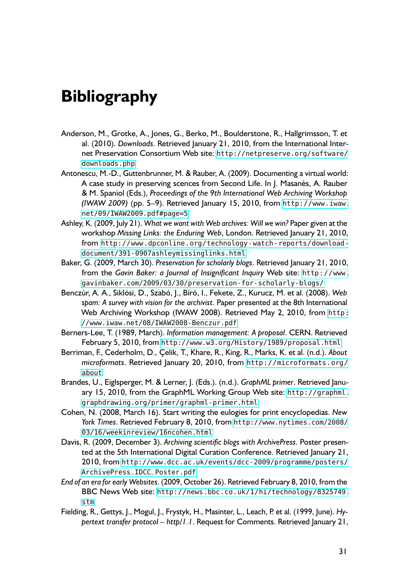# <span id="page-30-0"></span>**Bibliography**

- Anderson, M., Grotke, A., Jones, G., Berko, M., Boulderstone, R., Hallgrimsson, T. et al. (2010). *Downloads*. Retrieved January 21, 2010, from the International Internet Preservation Consortium Web site: [http://netpreserve.org/software/](http://netpreserve.org/software/downloads.php) [downloads.php](http://netpreserve.org/software/downloads.php)
- Antonescu, M.-D., Guttenbrunner, M. & Rauber, A. (2009). Documenting a virtual world: A case study in preserving scences from Second Life. In J. Masanès, A. Rauber & M. Spaniol (Eds.), *Proceedings of the 9th International Web Archiving Workshop (IWAW 2009)* (pp. 5–9). Retrieved January 15, 2010, from [http://www.iwaw.](http://www.iwaw.net/09/IWAW2009.pdf#page=5) [net/09/IWAW2009.pdf#page=5](http://www.iwaw.net/09/IWAW2009.pdf#page=5)
- Ashley, K. (2009, July 21). *What we want with Web archives: Will we win?* Paper given at the workshop *Missing Links: the Enduring Web*, London. Retrieved January 21, 2010, from [http://www.dpconline.org/technology-watch-reports/download](http://www.dpconline.org/technology-watch-reports/download-document/391-0907ashleymissinglinks.html)[document/391-0907ashleymissinglinks.html](http://www.dpconline.org/technology-watch-reports/download-document/391-0907ashleymissinglinks.html)
- Baker, G. (2009, March 30). *Preservation for scholarly blogs*. Retrieved January 21, 2010, from the *Gavin Baker: a Journal of Insignificant Inquiry* Web site: [http://www.](http://www.gavinbaker.com/2009/03/30/preservation-for-scholarly-blogs/) [gavinbaker.com/2009/03/30/preservation-for-scholarly-blogs/](http://www.gavinbaker.com/2009/03/30/preservation-for-scholarly-blogs/)
- Benczúr, A. A., Siklósi, D., Szabó, J., Bíró, I., Fekete, Z., Kurucz, M. et al. (2008). *Web spam: A survey with vision for the archivist*. Paper presented at the 8th International Web Archiving Workshop (IWAW 2008). Retrieved May 2, 2010, from [http:](http://www.iwaw.net/08/IWAW2008-Benczur.pdf) [//www.iwaw.net/08/IWAW2008-Benczur.pdf](http://www.iwaw.net/08/IWAW2008-Benczur.pdf)
- Berners-Lee, T. (1989, March). *Information management: A proposal*. CERN. Retrieved February 5, 2010, from <http://www.w3.org/History/1989/proposal.html>
- Berriman, F., Cederholm, D., Çelik, T., Khare, R., King, R., Marks, K. et al. (n.d.). *About microformats*. Retrieved January 20, 2010, from [http://microformats.org/](http://microformats.org/about) [about](http://microformats.org/about)
- Brandes, U., Eiglsperger, M. & Lerner, J. (Eds.). (n.d.). *GraphML primer*. Retrieved January 15, 2010, from the GraphML Working Group Web site: [http://graphml.](http://graphml.graphdrawing.org/primer/graphml-primer.html) [graphdrawing.org/primer/graphml-primer.html](http://graphml.graphdrawing.org/primer/graphml-primer.html)
- Cohen, N. (2008, March 16). Start writing the eulogies for print encyclopedias. *New York Times*. Retrieved February 8, 2010, from [http://www.nytimes.com/2008/](http://www.nytimes.com/2008/03/16/weekinreview/16ncohen.html) [03/16/weekinreview/16ncohen.html](http://www.nytimes.com/2008/03/16/weekinreview/16ncohen.html)
- Davis, R. (2009, December 3). *Archiving scientific blogs with ArchivePress*. Poster presented at the 5th International Digital Curation Conference. Retrieved January 21, 2010, from [http://www.dcc.ac.uk/events/dcc-2009/programme/posters/](http://www.dcc.ac.uk/events/dcc-2009/programme/posters/ArchivePress_IDCC_Poster.pdf) [ArchivePress\\_IDCC\\_Poster.pdf](http://www.dcc.ac.uk/events/dcc-2009/programme/posters/ArchivePress_IDCC_Poster.pdf)
- *End of an era for early Websites*. (2009, October 26). Retrieved February 8, 2010, from the BBC News Web site: [http://news.bbc.co.uk/1/hi/technology/8325749.](http://news.bbc.co.uk/1/hi/technology/8325749.stm) [stm](http://news.bbc.co.uk/1/hi/technology/8325749.stm)
- Fielding, R., Gettys, J., Mogul, J., Frystyk, H., Masinter, L., Leach, P. et al. (1999, June). *Hypertext transfer protocol – http/1.1*. Request for Comments. Retrieved January 21,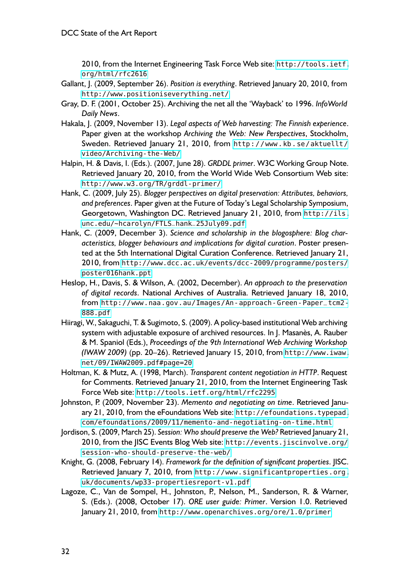2010, from the Internet Engineering Task Force Web site: [http://tools.ietf.](http://tools.ietf.org/html/rfc2616) [org/html/rfc2616](http://tools.ietf.org/html/rfc2616)

- <span id="page-31-0"></span>Gallant, J. (2009, September 26). *Position is everything*. Retrieved January 20, 2010, from <http://www.positioniseverything.net/>
- Gray, D. F. (2001, October 25). Archiving the net all the 'Wayback' to 1996. *InfoWorld Daily News*.
- Hakala, J. (2009, November 13). *Legal aspects of Web harvesting: The Finnish experience*. Paper given at the workshop *Archiving the Web: New Perspectives*, Stockholm, Sweden. Retrieved January 21, 2010, from [http://www.kb.se/aktuellt/](http://www.kb.se/aktuellt/video/Archiving-the-Web/) [video/Archiving-the-Web/](http://www.kb.se/aktuellt/video/Archiving-the-Web/)
- Halpin, H. & Davis, I. (Eds.). (2007, June 28). *GRDDL primer*. W3C Working Group Note. Retrieved January 20, 2010, from the World Wide Web Consortium Web site: <http://www.w3.org/TR/grddl-primer/>
- Hank, C. (2009, July 25). *Blogger perspectives on digital preservation: Attributes, behaviors, and preferences*. Paper given at the Future of Today's Legal Scholarship Symposium, Georgetown, Washington DC. Retrieved January 21, 2010, from [http://ils.](http://ils.unc.edu/~hcarolyn/FTLS_hank_25July09.pdf) [unc.edu/~hcarolyn/FTLS\\_hank\\_25July09.pdf](http://ils.unc.edu/~hcarolyn/FTLS_hank_25July09.pdf)
- Hank, C. (2009, December 3). *Science and scholarship in the blogosphere: Blog characteristics, blogger behaviours and implications for digital curation*. Poster presented at the 5th International Digital Curation Conference. Retrieved January 21, 2010, from [http://www.dcc.ac.uk/events/dcc-2009/programme/posters/](http://www.dcc.ac.uk/events/dcc-2009/programme/posters/poster016hank.ppt) [poster016hank.ppt](http://www.dcc.ac.uk/events/dcc-2009/programme/posters/poster016hank.ppt)
- Heslop, H., Davis, S. & Wilson, A. (2002, December). *An approach to the preservation of digital records*. National Archives of Australia. Retrieved January 18, 2010, from [http://www.naa.gov.au/Images/An-approach-Green-Paper\\_tcm2-](http://www.naa.gov.au/Images/An-approach-Green-Paper_tcm2-888.pdf) [888.pdf](http://www.naa.gov.au/Images/An-approach-Green-Paper_tcm2-888.pdf)
- Hiiragi, W., Sakaguchi, T. & Sugimoto, S. (2009). A policy-based institutional Web archiving system with adjustable exposure of archived resources. In J. Masanès, A. Rauber & M. Spaniol (Eds.), *Proceedings of the 9th International Web Archiving Workshop (IWAW 2009)* (pp. 20–26). Retrieved January 15, 2010, from [http://www.iwaw.](http://www.iwaw.net/09/IWAW2009.pdf#page=20) [net/09/IWAW2009.pdf#page=20](http://www.iwaw.net/09/IWAW2009.pdf#page=20)
- Holtman, K. & Mutz, A. (1998, March). *Transparent content negotiation in HTTP*. Request for Comments. Retrieved January 21, 2010, from the Internet Engineering Task Force Web site: <http://tools.ietf.org/html/rfc2295>
- Johnston, P. (2009, November 23). *Memento and negotiating on time*. Retrieved January 21, 2010, from the eFoundations Web site: [http://efoundations.typepad.](http://efoundations.typepad.com/efoundations/2009/11/memento-and-negotiating-on-time.html) [com/efoundations/2009/11/memento-and-negotiating-on-time.html](http://efoundations.typepad.com/efoundations/2009/11/memento-and-negotiating-on-time.html)
- Jordison, S. (2009, March 25). *Session: Who should preserve the Web?* Retrieved January 21, 2010, from the JISC Events Blog Web site: [http://events.jiscinvolve.org/](http://events.jiscinvolve.org/session-who-should-preserve-the-web/) [session-who-should-preserve-the-web/](http://events.jiscinvolve.org/session-who-should-preserve-the-web/)
- Knight, G. (2008, February 14). *Framework for the definition of significant properties*. JISC. Retrieved January 7, 2010, from [http://www.significantproperties.org.](http://www.significantproperties.org.uk/documents/wp33-propertiesreport-v1.pdf) [uk/documents/wp33-propertiesreport-v1.pdf](http://www.significantproperties.org.uk/documents/wp33-propertiesreport-v1.pdf)
- Lagoze, C., Van de Sompel, H., Johnston, P., Nelson, M., Sanderson, R. & Warner, S. (Eds.). (2008, October 17). *ORE user guide: Primer*. Version 1.0. Retrieved January 21, 2010, from <http://www.openarchives.org/ore/1.0/primer>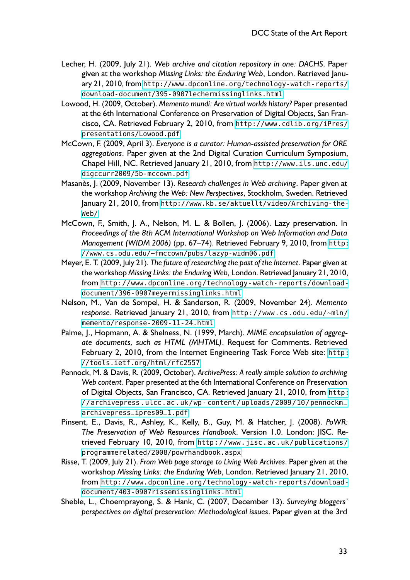- <span id="page-32-0"></span>Lecher, H. (2009, July 21). *Web archive and citation repository in one: DACHS*. Paper given at the workshop *Missing Links: the Enduring Web*, London. Retrieved January 21, 2010, from [http://www.dpconline.org/technology-watch-reports/](http://www.dpconline.org/technology-watch-reports/download-document/395-0907lechermissinglinks.html) [download-document/395-0907lechermissinglinks.html](http://www.dpconline.org/technology-watch-reports/download-document/395-0907lechermissinglinks.html)
- Lowood, H. (2009, October). *Memento mundi: Are virtual worlds history?* Paper presented at the 6th International Conference on Preservation of Digital Objects, San Francisco, CA. Retrieved February 2, 2010, from [http://www.cdlib.org/iPres/](http://www.cdlib.org/iPres/presentations/Lowood.pdf) [presentations/Lowood.pdf](http://www.cdlib.org/iPres/presentations/Lowood.pdf)
- McCown, F. (2009, April 3). *Everyone is a curator: Human-assisted preservation for ORE aggregations*. Paper given at the 2nd Digital Curation Curriculum Symposium, Chapel Hill, NC. Retrieved January 21, 2010, from [http://www.ils.unc.edu/](http://www.ils.unc.edu/digccurr2009/5b-mccown.pdf) [digccurr2009/5b-mccown.pdf](http://www.ils.unc.edu/digccurr2009/5b-mccown.pdf)
- Masanès, J. (2009, November 13). *Research challenges in Web archiving*. Paper given at the workshop *Archiving the Web: New Perspectives*, Stockholm, Sweden. Retrieved January 21, 2010, from [http://www.kb.se/aktuellt/video/Archiving-the-](http://www.kb.se/aktuellt/video/Archiving-the-Web/)[Web/](http://www.kb.se/aktuellt/video/Archiving-the-Web/)
- McCown, F., Smith, J. A., Nelson, M. L. & Bollen, J. (2006). Lazy preservation. In *Proceedings of the 8th ACM International Workshop on Web Information and Data Management (WIDM 2006)* (pp. 67–74). Retrieved February 9, 2010, from [http:](http://www.cs.odu.edu/~fmccown/pubs/lazyp-widm06.pdf) [//www.cs.odu.edu/~fmccown/pubs/lazyp-widm06.pdf](http://www.cs.odu.edu/~fmccown/pubs/lazyp-widm06.pdf)
- Meyer, E. T. (2009, July 21). *The future of researching the past of the Internet*. Paper given at the workshop *Missing Links: the Enduring Web*, London. Retrieved January 21, 2010, from [http://www.dpconline.org/technology-watch-reports/download](http://www.dpconline.org/technology-watch-reports/download-document/396-0907meyermissinglinks.html)[document/396-0907meyermissinglinks.html](http://www.dpconline.org/technology-watch-reports/download-document/396-0907meyermissinglinks.html)
- Nelson, M., Van de Sompel, H. & Sanderson, R. (2009, November 24). *Memento response*. Retrieved January 21, 2010, from [http://www.cs.odu.edu/~mln/](http://www.cs.odu.edu/~mln/memento/response-2009-11-24.html) [memento/response-2009-11-24.html](http://www.cs.odu.edu/~mln/memento/response-2009-11-24.html)
- Palme, J., Hopmann, A. & Shelness, N. (1999, March). *MIME encapsulation of aggregate documents, such as HTML (MHTML)*. Request for Comments. Retrieved February 2, 2010, from the Internet Engineering Task Force Web site: [http:](http://tools.ietf.org/html/rfc2557) [//tools.ietf.org/html/rfc2557](http://tools.ietf.org/html/rfc2557)
- Pennock, M. & Davis, R. (2009, October). *ArchivePress: A really simple solution to archiving Web content*. Paper presented at the 6th International Conference on Preservation of Digital Objects, San Francisco, CA. Retrieved January 21, 2010, from [http:](http://archivepress.ulcc.ac.uk/wp-content/uploads/2009/10/pennockm_archivepress_ipres09_1.pdf) [//archivepress.ulcc.ac.uk/wp- content/uploads/2009/10/pennockm\\_](http://archivepress.ulcc.ac.uk/wp-content/uploads/2009/10/pennockm_archivepress_ipres09_1.pdf) [archivepress\\_ipres09\\_1.pdf](http://archivepress.ulcc.ac.uk/wp-content/uploads/2009/10/pennockm_archivepress_ipres09_1.pdf)
- Pinsent, E., Davis, R., Ashley, K., Kelly, B., Guy, M. & Hatcher, J. (2008). *PoWR: The Preservation of Web Resources Handbook*. Version 1.0. London: JISC. Retrieved February 10, 2010, from [http://www.jisc.ac.uk/publications/](http://www.jisc.ac.uk/publications/programmerelated/2008/powrhandbook.aspx) [programmerelated/2008/powrhandbook.aspx](http://www.jisc.ac.uk/publications/programmerelated/2008/powrhandbook.aspx)
- Risse, T. (2009, July 21). *From Web page storage to Living Web Archives*. Paper given at the workshop *Missing Links: the Enduring Web*, London. Retrieved January 21, 2010, from [http://www.dpconline.org/technology-watch-reports/download](http://www.dpconline.org/technology-watch-reports/download-document/403-0907rissemissinglinks.html)[document/403-0907rissemissinglinks.html](http://www.dpconline.org/technology-watch-reports/download-document/403-0907rissemissinglinks.html)
- Sheble, L., Choemprayong, S. & Hank, C. (2007, December 13). *Surveying bloggers' perspectives on digital preservation: Methodological issues*. Paper given at the 3rd